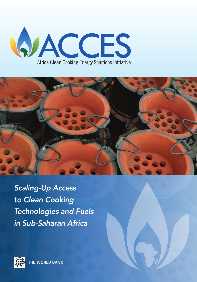



*Scaling-Up Access to Clean Cooking Technologies and Fuels in Sub-Saharan Africa*

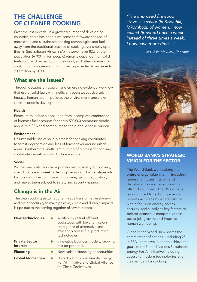# **THE CHALLENGE OF CLEANER COOKING**

Over the last decade, in a growing number of developing countries, there has been a welcome shift toward the use of more clean and sustainable cooking technologies and fuels, away from the traditional practice of cooking over smoky open fires. In Sub-Saharan Africa (SSA), however, over 82% of the population (~700 million people) remains dependent on solid fuels such as charcoal, dung, fuelwood, and other biomass for cooking purposes—and this number is projected to increase to 900 million by 2030.

### What are the Issues?

Through decades of research and emerging evidence, we know that use of solid fuels with inefficient cookstoves adversely impacts human health, pollutes the environment, and slows socio-economic development.

### Health

Exposure to indoor air pollution from incomplete combustion of biomass fuel accounts for nearly 500,000 premature deaths annually in SSA and contributes to the global disease burden.

### Environment

Unsustainable use of solid biomass for cooking contributes to forest degradation and loss of forest cover around urban areas. Furthermore, inefficient burning of biomass for cooking contributes significantly to GHG emissions.

### Social

Women and girls, who have primary responsibility for cooking, spend hours each week collecting fuelwood. This translates into lost opportunities for increasing income, gaining education, and makes them subject to safety and security hazards.

## Change is in the Air

The clean cooking sector is currently at a transformative stage and the opportunity to make positive, visible and durable impacts is ripe due to the coming together of several trends:

| <b>New Technologies</b>           | Availability of fuel efficient<br>cookstoves with lower emissions;<br>emergence of alternative and<br>efficient biomass fuel production<br>technologies. |
|-----------------------------------|----------------------------------------------------------------------------------------------------------------------------------------------------------|
| <b>Private Sector</b><br>Interest | Innovative business models, growing<br>market potential.                                                                                                 |
| <b>Financing</b>                  | New carbon financing opportunities.                                                                                                                      |
| <b>Global Momentum</b>            | United Nations Sustainable Energy<br>For All initiative and Global Alliance<br>for Clean Cookstoves                                                      |

*"The improved firewood stove is a savior (in Kiswahili, Mkombozi) of women, I now collect firewood once a week instead of three times a week... I now have more time…"* 

*Ms. Asia Makumu, Tanzania*



### WORLD BANK'S STRATEGIC VISION FOR THE SECTOR

The World Bank works along the entire energy value chain—including generation, transmission, and distribution as well as support for off-grid solutions. The World Bank is committed to reducing energy poverty across Sub-Saharan Africa with a focus on energy access, security, and supply as key factors to bolster economic competitiveness, boost job growth, and improve human well-being.

Globally, the World Bank shares the commitment of nations—including 25 in SSA—that have joined to achieve the goals of the United Nations Sustainable Energy For All Initiative including access to modern technologies and cleaner fuels for cooking.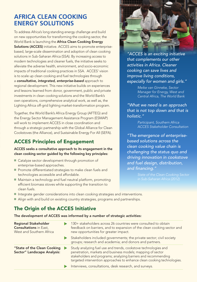# **AFRICA CLEAN COOKING ENERGY SOLUTIONS**

To address Africa's long standing energy challenge and build on new opportunities for transforming the cooking sector, the World Bank is launching the Africa Clean Cooking Energy Solutions (ACCES) initiative. ACCES aims to promote enterprisebased, large-scale dissemination and adoption of clean cooking solutions in Sub-Saharan Africa (SSA). By increasing access to modern technologies and cleaner fuels, the initiative seeks to alleviate the adverse health, environment, and socio-economic impacts of traditional cooking practices in SSA. ACCES' vision is to scale up clean cooking and fuel technologies through a *consultative, integrated, enterprise-based* approach to regional development. This new initiative builds on experiences and lessons learned from donor, government, public and private investments in clean cooking solutions and the World Bank's own operations, comprehensive analytical work, as well as, the Lighting Africa off-grid lighting market-transformation program.

Together, the World Bank's Africa Energy Group (AFTEG) and the Energy Sector Management Assistance Program (ESMAP) will work to implement ACCES in close coordination and through a strategic partnership with the Global Alliance for Clean Cookstoves (the Alliance), and Sustainable Energy For All (SEFA).

# ACCES Principles of Engagement

### ACCES seeks a consultative approach to its engagement in the clean cooking sector guided by the following key principles:

- Catalyze sector development through promotion of enterprise-based approaches.
- **Promote differentiated strategies to make clean fuels and** technologies accessible and affordable.
- Maintain a technology and fuel neutral platform, promoting efficient biomass stoves while supporting the transition to clean fuels.



*"ACCES is an exciting initiative that complements our other activities in Africa. Cleaner cooking can save lives and improve living conditions, especially for women and girls."* 

> *Meike van Ginneke, Sector Manager for Energy, West and Central Africa, The World Bank*

*"What we need is an approach that is not top down and that is holistic."*

> *Participant, Southern Africa ACCES Stakeholder Consultation*

*"The emergence of enterprisebased solutions across the clean cooking value chain is challenging the status quo and driving innovation in cookstove and fuel design, distribution, and financing."*

- Integrate gender considerations into clean cooking strategies and interventions.
- Align with and build on existing country strategies, programs and partnerships.

## The Origin of the ACCES Initiative

The development of ACCES was informed by a number of strategic activities:

| <b>Regional Stakeholder</b><br><b>Consultations</b> in East,<br>West and Southern Africa | 130+ stakeholders across 26 countries were consulted to obtain<br>feedback on barriers, and to expansion of the clean cooking sector and<br>new opportunities for greater impact.                                                                                           |
|------------------------------------------------------------------------------------------|-----------------------------------------------------------------------------------------------------------------------------------------------------------------------------------------------------------------------------------------------------------------------------|
|                                                                                          | Stakeholders included governments; the private sector; civil society<br>groups; research and academia; and donors and partners.                                                                                                                                             |
| "State of the Clean Cooking<br>Sector" Landscape Analysis:                               | Study analyzing fuel use and trends, cookstove technologies and<br>penetration, markets and business models; mapping of sector<br>stakeholders and programs; analyzing barriers and recommending<br>targeted intervention approaches to enhance clean cooking technologies. |
|                                                                                          | Interviews, consultations, desk research, and surveys.                                                                                                                                                                                                                      |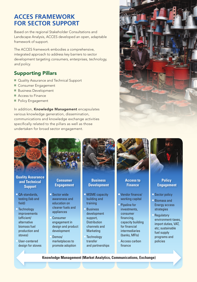# **ACCES FRAMEWORK FOR SECTOR SUPPORT**

Based on the regional Stakeholder Consultations and Landscape Analysis, ACCES developed an open, adaptable framework of support.

The ACCES framework embodies a comprehensive, integrated approach to address key barriers to sector development targeting *consumers, enterprises, technology, and policy.*

## Supporting Pillars

- Quality Assurance and Technical Support
- **E** Consumer Engagement
- **Business Development**
- Access to Finance

User-centered design for stoves

Policy Engagement

In addition, Knowledge Management encapsulates various knowledge generation, dissemination, communications and knowledge exchange activities specifically related to the pillars as well as those undertaken for broad sector engagement.





transfer and partnerships

marketplaces to promote adoption

**Knowledge Management (Market Analytics, Communications, Exchange)**

<sup>n</sup> Access carbon finance

policies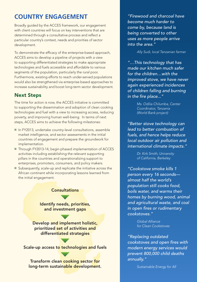# **COUNTRY ENGAGEMENT**

Broadly guided by the ACCES framework, our engagement with client countries will focus on key interventions that are determined through a consultative process and reflect a particular country's context, needs and priorities of sector development.

To demonstrate the efficacy of the enterprise-based approach, ACCES aims to develop a pipeline of projects with a view to supporting differentiated strategies to make appropriate technologies and fuels accessible and affordable to various segments of the population, particularly the rural poor. Furthermore, existing efforts to reach under-served populations would also be strengthened via enterprise-based approaches to increase sustainability and boost long-term sector development.

## Next Steps

The time for action is now, the ACCES initiative is committed to supporting the dissemination and adoption of clean cooking technologies and fuel with a view to increasing access, reducing poverty, and improving human well-being. In terms of next steps, ACCES aims to achieve the following milestones:

- In FY2013, undertake country-level consultations, assemble market intelligence, and sector assessments in the initial countries of engagement and prepare the groundwork for implementation.
- Through FY2013-14, begin phased implementation of ACCES activities including establishing the relevant supporting pillars in the countries and operationalizing support to enterprises, promoters, consumers, and policy makers.
- Subsequently, scale-up and replicate the initiative across the African continent while incorporating lessons learned from the initial engagement.

### **Consultations**

Identify needs, priorities, and investment gaps

Develop and implement holistic, prioritized set of activities and differentiated strategies

Scale-up access to technologies and fuels

Transform clean cooking sector for long-term sustainable development.

*"Firewood and charcoal have become much harder to come by, because land is being converted to other uses as more people arrive into the area."* 

*Ally Sudi, local Tanzanian farmer*

*"…This technology that has made our kitchen much safer for the children…with the improved stove, we have never again experienced incidences of children falling and burning in the fire place..."* 

> *Ms. Odilia Chilumba, Center Coordinator, Tanzania (World Bank project)*

*"Better stove technology can lead to better combustion of fuels, and hence helps reduce local outdoor air pollution and international climate impacts."* 

> *Dr. Kirk Smith, University of California, Berkeley*

*"Cookstove smoke kills 1 person every 16 seconds almost half the world's population still cooks food, boils water, and warms their homes by burning wood, animal and agricultural waste, and coal in open fires or rudimentary cookstoves."* 

> *Global Alliance for Clean Cookstoves*

*"Replacing outdated cookstoves and open fires with modern energy services would prevent 800,000 child deaths annually."* 

*Sustainable Energy for All*